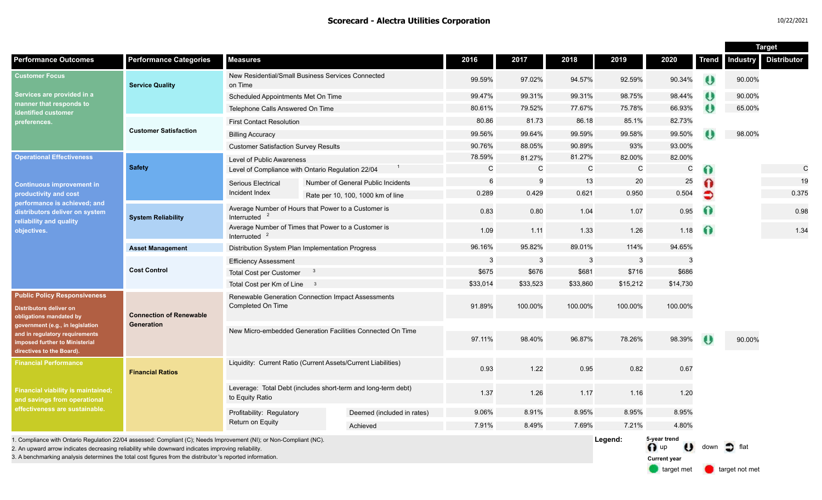|                                                                                                                                                                                                                                       |                                              |                                                                                  |  |                                    |              |                |              |              |                                                       |           | <b>Target</b>     |                    |  |
|---------------------------------------------------------------------------------------------------------------------------------------------------------------------------------------------------------------------------------------|----------------------------------------------|----------------------------------------------------------------------------------|--|------------------------------------|--------------|----------------|--------------|--------------|-------------------------------------------------------|-----------|-------------------|--------------------|--|
| <b>Performance Outcomes</b>                                                                                                                                                                                                           | <b>Performance Categories</b>                | <b>Measures</b>                                                                  |  |                                    | 2016         | 2017           | 2018         | 2019         | 2020                                                  | Trend     | <b>Industry</b>   | <b>Distributor</b> |  |
| <b>Customer Focus</b><br>Services are provided in a<br>manner that responds to<br>identified customer<br>preferences.                                                                                                                 | <b>Service Quality</b>                       | New Residential/Small Business Services Connected<br>on Time                     |  | 99.59%                             | 97.02%       | 94.57%         | 92.59%       | 90.34%       | $\theta$                                              | 90.00%    |                   |                    |  |
|                                                                                                                                                                                                                                       |                                              | Scheduled Appointments Met On Time                                               |  |                                    | 99.47%       | 99.31%         | 99.31%       | 98.75%       | 98.44%                                                | $\bullet$ | 90.00%            |                    |  |
|                                                                                                                                                                                                                                       |                                              | Telephone Calls Answered On Time                                                 |  |                                    | 80.61%       | 79.52%         | 77.67%       | 75.78%       | 66.93%                                                | ₩         | 65.00%            |                    |  |
|                                                                                                                                                                                                                                       | <b>Customer Satisfaction</b>                 | <b>First Contact Resolution</b>                                                  |  |                                    | 80.86        | 81.73          | 86.18        | 85.1%        | 82.73%                                                |           |                   |                    |  |
|                                                                                                                                                                                                                                       |                                              | <b>Billing Accuracy</b>                                                          |  |                                    | 99.56%       | 99.64%         | 99.59%       | 99.58%       | 99.50%                                                |           | 98.00%            |                    |  |
|                                                                                                                                                                                                                                       |                                              | <b>Customer Satisfaction Survey Results</b>                                      |  | 90.76%                             | 88.05%       | 90.89%         | 93%          | 93.00%       |                                                       |           |                   |                    |  |
| <b>Operational Effectiveness</b><br><b>Continuous improvement in</b><br>productivity and cost<br>performance is achieved; and<br>distributors deliver on system<br>reliability and quality<br>objectives.                             | <b>Safety</b>                                | Level of Public Awareness                                                        |  |                                    | 78.59%       | 81.27%         | 81.27%       | 82.00%       | 82.00%                                                |           |                   |                    |  |
|                                                                                                                                                                                                                                       |                                              | Level of Compliance with Ontario Regulation 22/04                                |  |                                    | $\mathsf{C}$ | $\mathsf{C}$   | $\mathsf{C}$ | $\mathsf{C}$ | C                                                     | Ω         |                   | $\mathsf{C}$       |  |
|                                                                                                                                                                                                                                       |                                              | <b>Serious Electrical</b>                                                        |  | Number of General Public Incidents | 6            | 9              | 13<br>20     |              | 25                                                    |           |                   | 19                 |  |
|                                                                                                                                                                                                                                       |                                              | Incident Index                                                                   |  | Rate per 10, 100, 1000 km of line  | 0.289        | 0.429          | 0.621        | 0.950        | 0.504                                                 | $\bullet$ |                   | 0.375              |  |
|                                                                                                                                                                                                                                       | <b>System Reliability</b>                    | Average Number of Hours that Power to a Customer is<br>Interrupted               |  |                                    | 0.83         | 0.80           | 1.04         | 1.07         | 0.95                                                  | $\Omega$  |                   | 0.98               |  |
|                                                                                                                                                                                                                                       |                                              | Average Number of Times that Power to a Customer is<br>Interrupted               |  |                                    | 1.09         | 1.11           | 1.33         | 1.26         | 1.18                                                  | $\Omega$  |                   | 1.34               |  |
|                                                                                                                                                                                                                                       | <b>Asset Management</b>                      | Distribution System Plan Implementation Progress                                 |  |                                    | 96.16%       | 95.82%         | 89.01%       | 114%         | 94.65%                                                |           |                   |                    |  |
|                                                                                                                                                                                                                                       | <b>Cost Control</b>                          | <b>Efficiency Assessment</b>                                                     |  |                                    | -3           | $\overline{3}$ | 3            | $\mathbf{3}$ | 3                                                     |           |                   |                    |  |
|                                                                                                                                                                                                                                       |                                              | <b>Total Cost per Customer</b><br>- 3                                            |  |                                    | \$675        | \$676          | \$681        | \$716        | \$686                                                 |           |                   |                    |  |
|                                                                                                                                                                                                                                       |                                              | Total Cost per Km of Line 3                                                      |  |                                    | \$33,014     | \$33,523       | \$33,860     | \$15,212     | \$14,730                                              |           |                   |                    |  |
| <b>Public Policy Responsiveness</b><br><b>Distributors deliver on</b><br>obligations mandated by<br>government (e.g., in legislation<br>and in regulatory requirements<br>imposed further to Ministerial<br>directives to the Board). | <b>Connection of Renewable</b><br>Generation | Renewable Generation Connection Impact Assessments<br>Completed On Time          |  |                                    | 91.89%       | 100.00%        | 100.00%      | 100.00%      | 100.00%                                               |           |                   |                    |  |
|                                                                                                                                                                                                                                       |                                              | New Micro-embedded Generation Facilities Connected On Time                       |  |                                    | 97.11%       | 98.40%         | 96.87%       | 78.26%       | 98.39%                                                | $\bullet$ | 90.00%            |                    |  |
| <b>Financial Performance</b><br><b>Financial viability is maintained;</b><br>and savings from operational<br>effectiveness are sustainable.                                                                                           | <b>Financial Ratios</b>                      | Liquidity: Current Ratio (Current Assets/Current Liabilities)                    |  |                                    | 0.93         | 1.22           | 0.95         | 0.82         | 0.67                                                  |           |                   |                    |  |
|                                                                                                                                                                                                                                       |                                              | Leverage: Total Debt (includes short-term and long-term debt)<br>to Equity Ratio |  |                                    | 1.37         | 1.26           | 1.17         | 1.16         | 1.20                                                  |           |                   |                    |  |
|                                                                                                                                                                                                                                       |                                              | Profitability: Regulatory<br>Return on Equity                                    |  | Deemed (included in rates)         | 9.06%        | 8.91%          | 8.95%        | 8.95%        | 8.95%                                                 |           |                   |                    |  |
|                                                                                                                                                                                                                                       |                                              |                                                                                  |  | Achieved                           | 7.91%        | 8.49%          | 7.69%        | 7.21%        | 4.80%                                                 |           |                   |                    |  |
| 1. Compliance with Ontario Regulation 22/04 assessed: Compliant (C); Needs Improvement (NI); or Non-Compliant (NC).<br>2. An upward arrow indicates decreasing reliability while downward indicates improving reliability             |                                              |                                                                                  |  |                                    |              |                |              | Legend:      | 5-year trend<br>$\bigcap$ up<br>$\boldsymbol{\omega}$ | down      | $\bullet$<br>flat |                    |  |

3. A benchmarking analysis determines the total cost figures from the distributor 's reported information.

target met **target not met** 

**Current year**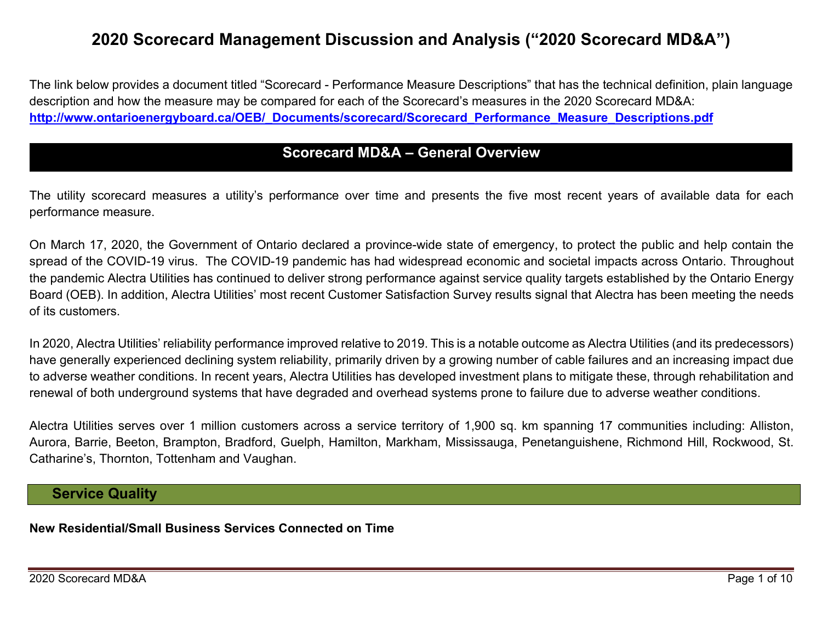# **2020 Scorecard Management Discussion and Analysis ("2020 Scorecard MD&A")**

The link below provides a document titled "Scorecard - Performance Measure Descriptions" that has the technical definition, plain language description and how the measure may be compared for each of the Scorecard's measures in the 2020 Scorecard MD&A: **[http://www.ontarioenergyboard.ca/OEB/\\_Documents/scorecard/Scorecard\\_Performance\\_Measure\\_Descriptions.pdf](http://www.ontarioenergyboard.ca/OEB/_Documents/scorecard/Scorecard_Performance_Measure_Descriptions.pdf)**

### **Scorecard MD&A – General Overview**

The utility scorecard measures a utility's performance over time and presents the five most recent years of available data for each performance measure.

On March 17, 2020, the Government of Ontario declared a province-wide state of emergency, to protect the public and help contain the spread of the COVID-19 virus. The COVID-19 pandemic has had widespread economic and societal impacts across Ontario. Throughout the pandemic Alectra Utilities has continued to deliver strong performance against service quality targets established by the Ontario Energy Board (OEB). In addition, Alectra Utilities' most recent Customer Satisfaction Survey results signal that Alectra has been meeting the needs of its customers.

In 2020, Alectra Utilities' reliability performance improved relative to 2019. This is a notable outcome as Alectra Utilities (and its predecessors) have generally experienced declining system reliability, primarily driven by a growing number of cable failures and an increasing impact due to adverse weather conditions. In recent years, Alectra Utilities has developed investment plans to mitigate these, through rehabilitation and renewal of both underground systems that have degraded and overhead systems prone to failure due to adverse weather conditions.

Alectra Utilities serves over 1 million customers across a service territory of 1,900 sq. km spanning 17 communities including: Alliston, Aurora, Barrie, Beeton, Brampton, Bradford, Guelph, Hamilton, Markham, Mississauga, Penetanguishene, Richmond Hill, Rockwood, St. Catharine's, Thornton, Tottenham and Vaughan.

### **Service Quality**

#### **New Residential/Small Business Services Connected on Time**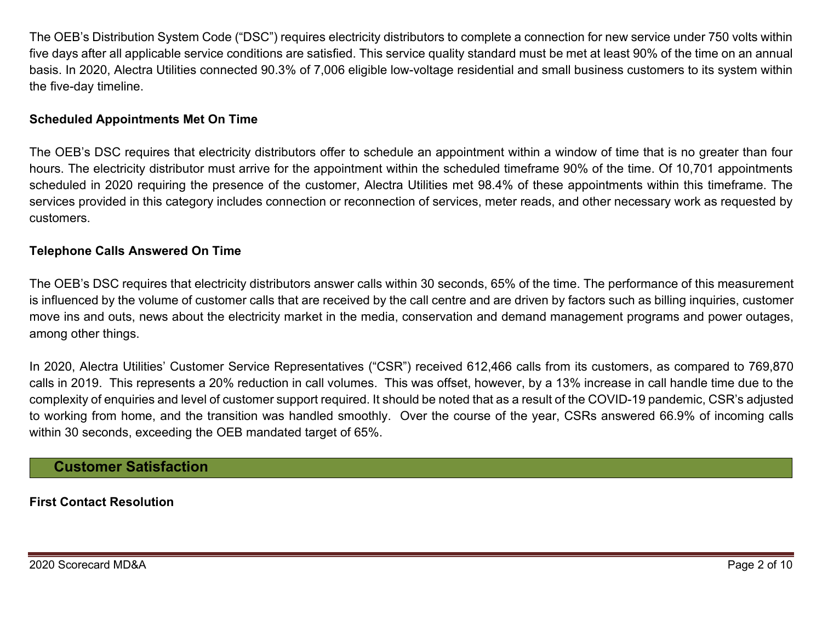The OEB's Distribution System Code ("DSC") requires electricity distributors to complete a connection for new service under 750 volts within five days after all applicable service conditions are satisfied. This service quality standard must be met at least 90% of the time on an annual basis. In 2020, Alectra Utilities connected 90.3% of 7,006 eligible low-voltage residential and small business customers to its system within the five-day timeline.

### **Scheduled Appointments Met On Time**

The OEB's DSC requires that electricity distributors offer to schedule an appointment within a window of time that is no greater than four hours. The electricity distributor must arrive for the appointment within the scheduled timeframe 90% of the time. Of 10,701 appointments scheduled in 2020 requiring the presence of the customer, Alectra Utilities met 98.4% of these appointments within this timeframe. The services provided in this category includes connection or reconnection of services, meter reads, and other necessary work as requested by customers.

### **Telephone Calls Answered On Time**

The OEB's DSC requires that electricity distributors answer calls within 30 seconds, 65% of the time. The performance of this measurement is influenced by the volume of customer calls that are received by the call centre and are driven by factors such as billing inquiries, customer move ins and outs, news about the electricity market in the media, conservation and demand management programs and power outages, among other things.

In 2020, Alectra Utilities' Customer Service Representatives ("CSR") received 612,466 calls from its customers, as compared to 769,870 calls in 2019. This represents a 20% reduction in call volumes. This was offset, however, by a 13% increase in call handle time due to the complexity of enquiries and level of customer support required. It should be noted that as a result of the COVID-19 pandemic, CSR's adjusted to working from home, and the transition was handled smoothly. Over the course of the year, CSRs answered 66.9% of incoming calls within 30 seconds, exceeding the OEB mandated target of 65%.

## **Customer Satisfaction**

**First Contact Resolution**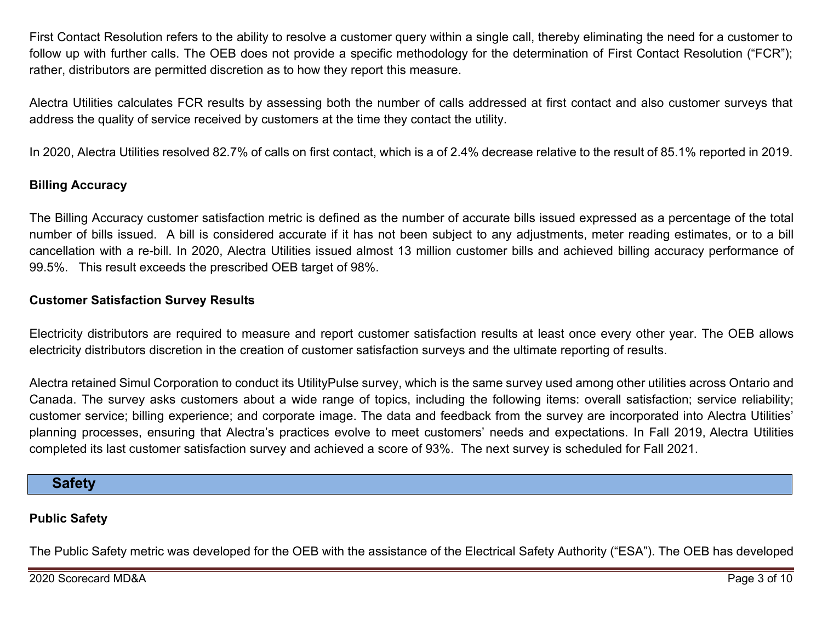First Contact Resolution refers to the ability to resolve a customer query within a single call, thereby eliminating the need for a customer to follow up with further calls. The OEB does not provide a specific methodology for the determination of First Contact Resolution ("FCR"); rather, distributors are permitted discretion as to how they report this measure.

Alectra Utilities calculates FCR results by assessing both the number of calls addressed at first contact and also customer surveys that address the quality of service received by customers at the time they contact the utility.

In 2020, Alectra Utilities resolved 82.7% of calls on first contact, which is a of 2.4% decrease relative to the result of 85.1% reported in 2019.

### **Billing Accuracy**

The Billing Accuracy customer satisfaction metric is defined as the number of accurate bills issued expressed as a percentage of the total number of bills issued. A bill is considered accurate if it has not been subject to any adjustments, meter reading estimates, or to a bill cancellation with a re-bill. In 2020, Alectra Utilities issued almost 13 million customer bills and achieved billing accuracy performance of 99.5%. This result exceeds the prescribed OEB target of 98%.

### **Customer Satisfaction Survey Results**

Electricity distributors are required to measure and report customer satisfaction results at least once every other year. The OEB allows electricity distributors discretion in the creation of customer satisfaction surveys and the ultimate reporting of results.

Alectra retained Simul Corporation to conduct its UtilityPulse survey, which is the same survey used among other utilities across Ontario and Canada. The survey asks customers about a wide range of topics, including the following items: overall satisfaction; service reliability; customer service; billing experience; and corporate image. The data and feedback from the survey are incorporated into Alectra Utilities' planning processes, ensuring that Alectra's practices evolve to meet customers' needs and expectations. In Fall 2019, Alectra Utilities completed its last customer satisfaction survey and achieved a score of 93%. The next survey is scheduled for Fall 2021.

### **Safety**

### **Public Safety**

The Public Safety metric was developed for the OEB with the assistance of the Electrical Safety Authority ("ESA"). The OEB has developed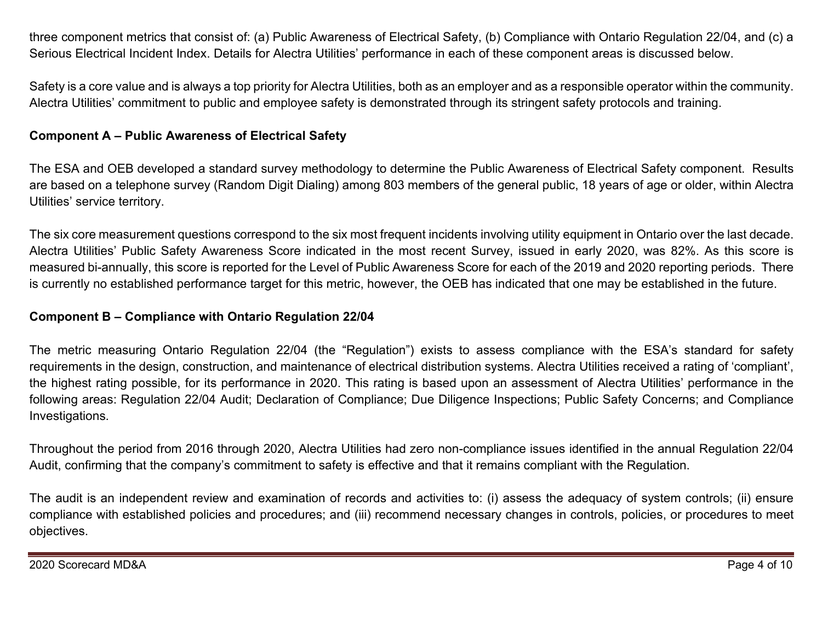three component metrics that consist of: (a) Public Awareness of Electrical Safety, (b) Compliance with Ontario Regulation 22/04, and (c) a Serious Electrical Incident Index. Details for Alectra Utilities' performance in each of these component areas is discussed below.

Safety is a core value and is always a top priority for Alectra Utilities, both as an employer and as a responsible operator within the community. Alectra Utilities' commitment to public and employee safety is demonstrated through its stringent safety protocols and training.

### **Component A – Public Awareness of Electrical Safety**

The ESA and OEB developed a standard survey methodology to determine the Public Awareness of Electrical Safety component. Results are based on a telephone survey (Random Digit Dialing) among 803 members of the general public, 18 years of age or older, within Alectra Utilities' service territory.

The six core measurement questions correspond to the six most frequent incidents involving utility equipment in Ontario over the last decade. Alectra Utilities' Public Safety Awareness Score indicated in the most recent Survey, issued in early 2020, was 82%. As this score is measured bi-annually, this score is reported for the Level of Public Awareness Score for each of the 2019 and 2020 reporting periods. There is currently no established performance target for this metric, however, the OEB has indicated that one may be established in the future.

### **Component B – Compliance with Ontario Regulation 22/04**

The metric measuring Ontario Regulation 22/04 (the "Regulation") exists to assess compliance with the ESA's standard for safety requirements in the design, construction, and maintenance of electrical distribution systems. Alectra Utilities received a rating of 'compliant', the highest rating possible, for its performance in 2020. This rating is based upon an assessment of Alectra Utilities' performance in the following areas: Regulation 22/04 Audit; Declaration of Compliance; Due Diligence Inspections; Public Safety Concerns; and Compliance Investigations.

Throughout the period from 2016 through 2020, Alectra Utilities had zero non-compliance issues identified in the annual Regulation 22/04 Audit, confirming that the company's commitment to safety is effective and that it remains compliant with the Regulation.

The audit is an independent review and examination of records and activities to: (i) assess the adequacy of system controls; (ii) ensure compliance with established policies and procedures; and (iii) recommend necessary changes in controls, policies, or procedures to meet objectives.

2020 Scorecard MD&A Page 4 of 10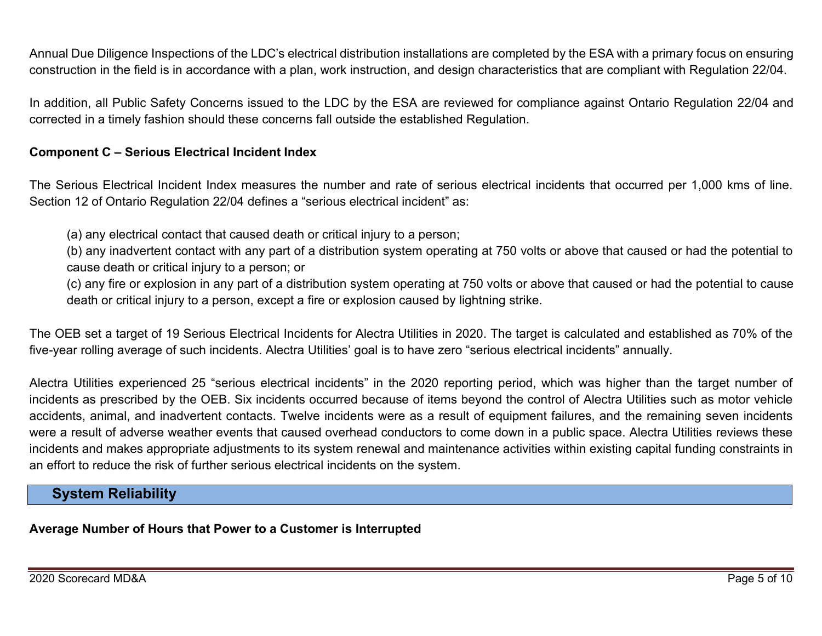Annual Due Diligence Inspections of the LDC's electrical distribution installations are completed by the ESA with a primary focus on ensuring construction in the field is in accordance with a plan, work instruction, and design characteristics that are compliant with Regulation 22/04.

In addition, all Public Safety Concerns issued to the LDC by the ESA are reviewed for compliance against Ontario Regulation 22/04 and corrected in a timely fashion should these concerns fall outside the established Regulation.

#### **Component C – Serious Electrical Incident Index**

The Serious Electrical Incident Index measures the number and rate of serious electrical incidents that occurred per 1,000 kms of line. Section 12 of Ontario Regulation 22/04 defines a "serious electrical incident" as:

(a) any electrical contact that caused death or critical injury to a person;

(b) any inadvertent contact with any part of a distribution system operating at 750 volts or above that caused or had the potential to cause death or critical injury to a person; or

(c) any fire or explosion in any part of a distribution system operating at 750 volts or above that caused or had the potential to cause death or critical injury to a person, except a fire or explosion caused by lightning strike.

The OEB set a target of 19 Serious Electrical Incidents for Alectra Utilities in 2020. The target is calculated and established as 70% of the five-year rolling average of such incidents. Alectra Utilities' goal is to have zero "serious electrical incidents" annually.

Alectra Utilities experienced 25 "serious electrical incidents" in the 2020 reporting period, which was higher than the target number of incidents as prescribed by the OEB. Six incidents occurred because of items beyond the control of Alectra Utilities such as motor vehicle accidents, animal, and inadvertent contacts. Twelve incidents were as a result of equipment failures, and the remaining seven incidents were a result of adverse weather events that caused overhead conductors to come down in a public space. Alectra Utilities reviews these incidents and makes appropriate adjustments to its system renewal and maintenance activities within existing capital funding constraints in an effort to reduce the risk of further serious electrical incidents on the system.

# **System Reliability**

### **Average Number of Hours that Power to a Customer is Interrupted**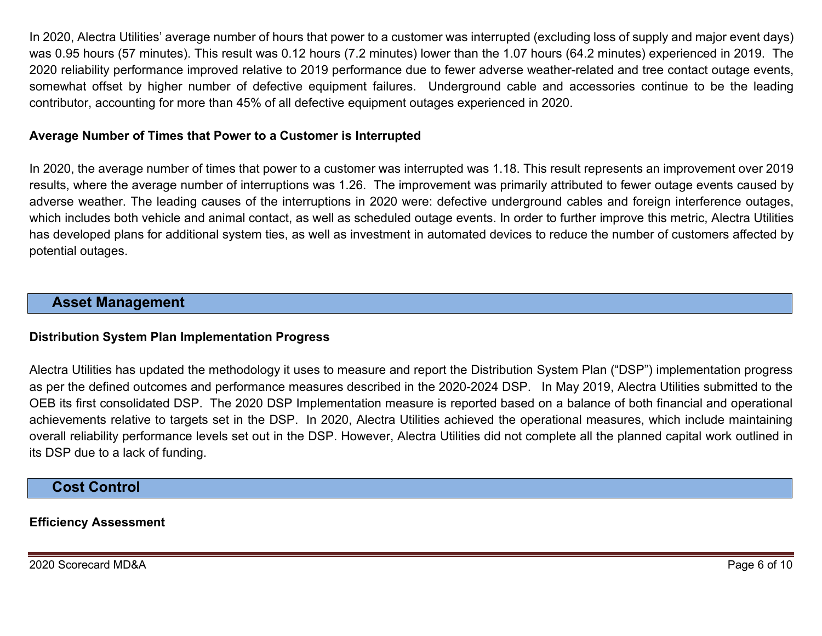In 2020, Alectra Utilities' average number of hours that power to a customer was interrupted (excluding loss of supply and major event days) was 0.95 hours (57 minutes). This result was 0.12 hours (7.2 minutes) lower than the 1.07 hours (64.2 minutes) experienced in 2019. The 2020 reliability performance improved relative to 2019 performance due to fewer adverse weather-related and tree contact outage events, somewhat offset by higher number of defective equipment failures. Underground cable and accessories continue to be the leading contributor, accounting for more than 45% of all defective equipment outages experienced in 2020.

#### **Average Number of Times that Power to a Customer is Interrupted**

In 2020, the average number of times that power to a customer was interrupted was 1.18. This result represents an improvement over 2019 results, where the average number of interruptions was 1.26. The improvement was primarily attributed to fewer outage events caused by adverse weather. The leading causes of the interruptions in 2020 were: defective underground cables and foreign interference outages, which includes both vehicle and animal contact, as well as scheduled outage events. In order to further improve this metric, Alectra Utilities has developed plans for additional system ties, as well as investment in automated devices to reduce the number of customers affected by potential outages.

### **Asset Management**

#### **Distribution System Plan Implementation Progress**

Alectra Utilities has updated the methodology it uses to measure and report the Distribution System Plan ("DSP") implementation progress as per the defined outcomes and performance measures described in the 2020-2024 DSP. In May 2019, Alectra Utilities submitted to the OEB its first consolidated DSP. The 2020 DSP Implementation measure is reported based on a balance of both financial and operational achievements relative to targets set in the DSP. In 2020, Alectra Utilities achieved the operational measures, which include maintaining overall reliability performance levels set out in the DSP. However, Alectra Utilities did not complete all the planned capital work outlined in its DSP due to a lack of funding.

### **Cost Control**

#### **Efficiency Assessment**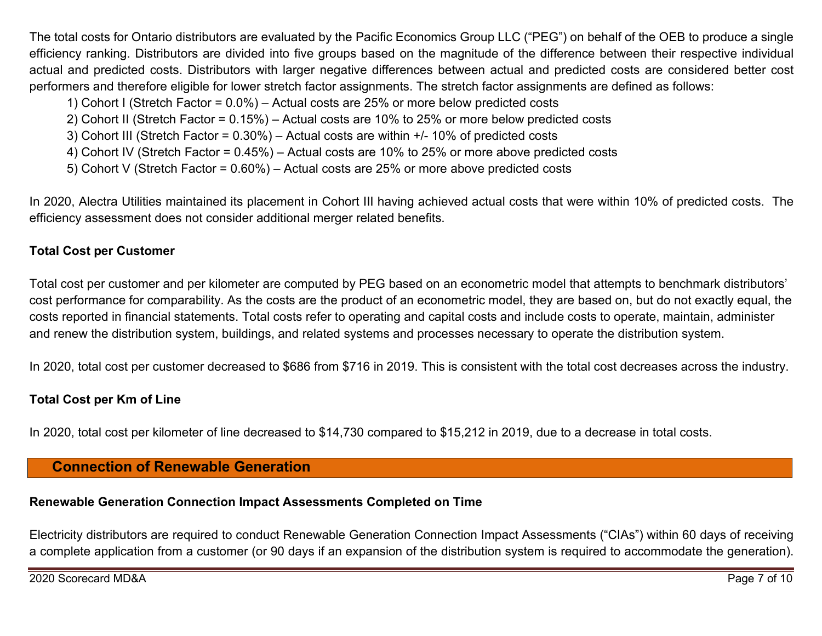The total costs for Ontario distributors are evaluated by the Pacific Economics Group LLC ("PEG") on behalf of the OEB to produce a single efficiency ranking. Distributors are divided into five groups based on the magnitude of the difference between their respective individual actual and predicted costs. Distributors with larger negative differences between actual and predicted costs are considered better cost performers and therefore eligible for lower stretch factor assignments. The stretch factor assignments are defined as follows:

- 1) Cohort I (Stretch Factor = 0.0%) Actual costs are 25% or more below predicted costs
- 2) Cohort II (Stretch Factor = 0.15%) Actual costs are 10% to 25% or more below predicted costs
- 3) Cohort III (Stretch Factor = 0.30%) Actual costs are within +/- 10% of predicted costs
- 4) Cohort IV (Stretch Factor = 0.45%) Actual costs are 10% to 25% or more above predicted costs
- 5) Cohort V (Stretch Factor = 0.60%) Actual costs are 25% or more above predicted costs

In 2020, Alectra Utilities maintained its placement in Cohort III having achieved actual costs that were within 10% of predicted costs. The efficiency assessment does not consider additional merger related benefits.

### **Total Cost per Customer**

Total cost per customer and per kilometer are computed by PEG based on an econometric model that attempts to benchmark distributors' cost performance for comparability. As the costs are the product of an econometric model, they are based on, but do not exactly equal, the costs reported in financial statements. Total costs refer to operating and capital costs and include costs to operate, maintain, administer and renew the distribution system, buildings, and related systems and processes necessary to operate the distribution system.

In 2020, total cost per customer decreased to \$686 from \$716 in 2019. This is consistent with the total cost decreases across the industry.

### **Total Cost per Km of Line**

In 2020, total cost per kilometer of line decreased to \$14,730 compared to \$15,212 in 2019, due to a decrease in total costs.

# **Connection of Renewable Generation**

# **Renewable Generation Connection Impact Assessments Completed on Time**

Electricity distributors are required to conduct Renewable Generation Connection Impact Assessments ("CIAs") within 60 days of receiving a complete application from a customer (or 90 days if an expansion of the distribution system is required to accommodate the generation).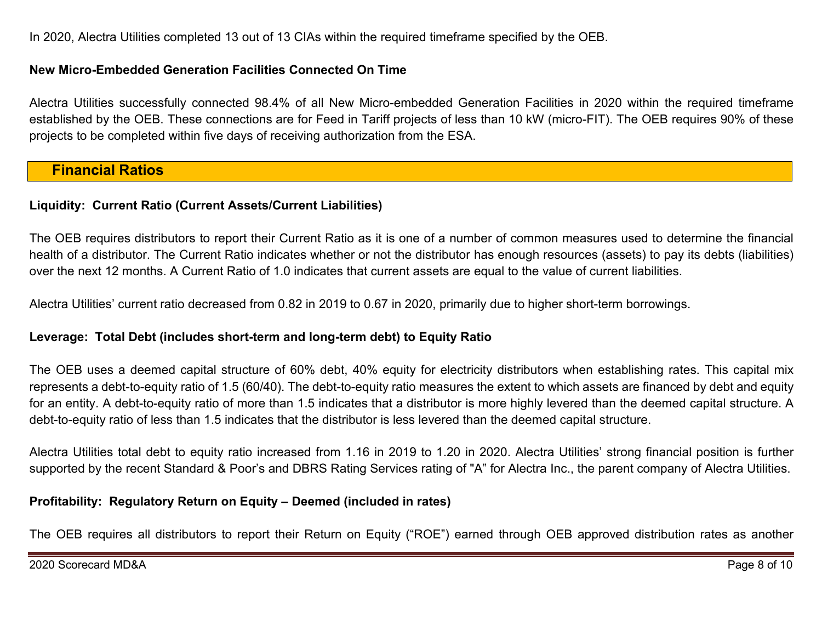In 2020, Alectra Utilities completed 13 out of 13 CIAs within the required timeframe specified by the OEB.

#### **New Micro-Embedded Generation Facilities Connected On Time**

Alectra Utilities successfully connected 98.4% of all New Micro-embedded Generation Facilities in 2020 within the required timeframe established by the OEB. These connections are for Feed in Tariff projects of less than 10 kW (micro-FIT). The OEB requires 90% of these projects to be completed within five days of receiving authorization from the ESA.

### **Financial Ratios**

### **Liquidity: Current Ratio (Current Assets/Current Liabilities)**

The OEB requires distributors to report their Current Ratio as it is one of a number of common measures used to determine the financial health of a distributor. The Current Ratio indicates whether or not the distributor has enough resources (assets) to pay its debts (liabilities) over the next 12 months. A Current Ratio of 1.0 indicates that current assets are equal to the value of current liabilities.

Alectra Utilities' current ratio decreased from 0.82 in 2019 to 0.67 in 2020, primarily due to higher short-term borrowings.

#### **Leverage: Total Debt (includes short-term and long-term debt) to Equity Ratio**

The OEB uses a deemed capital structure of 60% debt, 40% equity for electricity distributors when establishing rates. This capital mix represents a debt-to-equity ratio of 1.5 (60/40). The debt-to-equity ratio measures the extent to which assets are financed by debt and equity for an entity. A debt-to-equity ratio of more than 1.5 indicates that a distributor is more highly levered than the deemed capital structure. A debt-to-equity ratio of less than 1.5 indicates that the distributor is less levered than the deemed capital structure.

Alectra Utilities total debt to equity ratio increased from 1.16 in 2019 to 1.20 in 2020. Alectra Utilities' strong financial position is further supported by the recent Standard & Poor's and DBRS Rating Services rating of "A" for Alectra Inc., the parent company of Alectra Utilities.

### **Profitability: Regulatory Return on Equity – Deemed (included in rates)**

The OEB requires all distributors to report their Return on Equity ("ROE") earned through OEB approved distribution rates as another